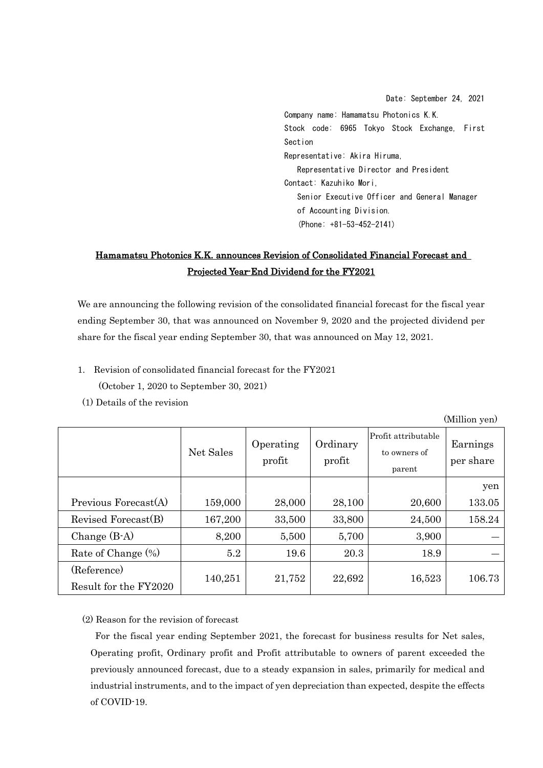Date: September 24, 2021 Company name: Hamamatsu Photonics K.K. Stock code: 6965 Tokyo Stock Exchange, First Section Representative: Akira Hiruma, Representative Director and President Contact: Kazuhiko Mori, Senior Executive Officer and General Manager of Accounting Division. (Phone: +81-53-452-2141)

## Hamamatsu Photonics K.K. announces Revision of Consolidated Financial Forecast and Projected Year-End Dividend for the FY2021

We are announcing the following revision of the consolidated financial forecast for the fiscal year ending September 30, that was announced on November 9, 2020 and the projected dividend per share for the fiscal year ending September 30, that was announced on May 12, 2021.

- 1. Revision of consolidated financial forecast for the FY2021 (October 1, 2020 to September 30, 2021)
- (1) Details of the revision

(Million yen) Net Sales Operating profit Ordinary profit Profit attributable to owners of parent Earnings per share yen Previous Forecast(A) | 159,000 | 28,000 | 28,100 | 20,600 | 133,05 Revised Forecast(B)  $\begin{array}{|l} \hline \end{array}$  167,200 33,500 33,800 24,500 158.24 Change (B-A)  $\begin{array}{|c|c|c|c|c|c|c|c|c|} \hline 8,200 & 5,500 & 5,700 & 3,900 \ \hline \end{array}$ Rate of Change  $(\%)$   $\qquad \qquad 5.2$   $\qquad \qquad 19.6$   $\qquad \qquad 20.3$   $\qquad \qquad 18.9$ (Reference) Result for the FY2020  $\begin{vmatrix} 140,251 & 21,752 & 22,692 & 16,523 \end{vmatrix}$  106.73

(2) Reason for the revision of forecast

For the fiscal year ending September 2021, the forecast for business results for Net sales, Operating profit, Ordinary profit and Profit attributable to owners of parent exceeded the previously announced forecast, due to a steady expansion in sales, primarily for medical and industrial instruments, and to the impact of yen depreciation than expected, despite the effects of COVID-19.